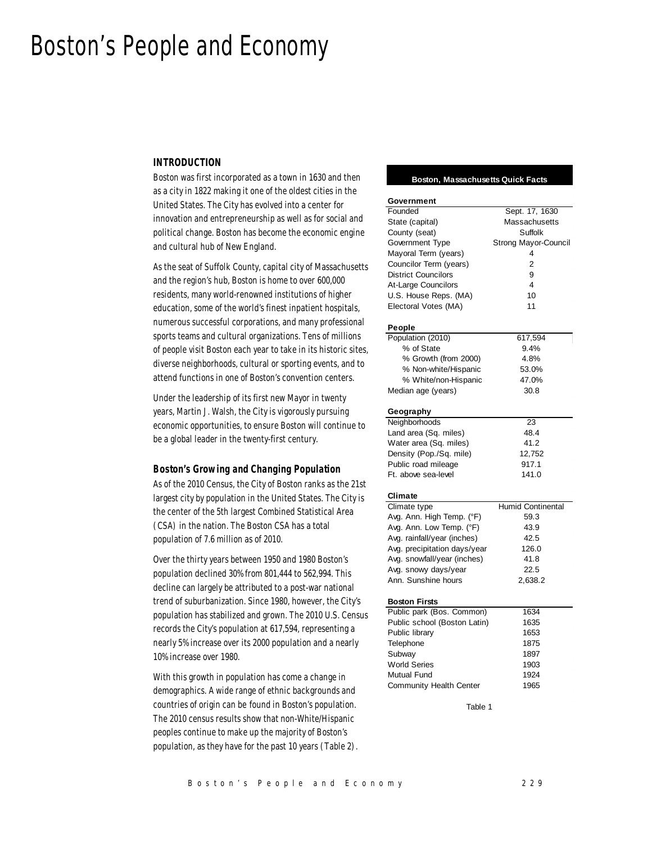# Boston's People and Economy

## *INTRODUCTION*

Boston was first incorporated as a town in 1630 and then as a city in 1822 making it one of the oldest cities in the United States. The City has evolved into a center for innovation and entrepreneurship as well as for social and political change. Boston has become the economic engine and cultural hub of New England.

As the seat of Suffolk County, capital city of Massachusetts and the region's hub, Boston is home to over 600,000 residents, many world-renowned institutions of higher education, some of the world's finest inpatient hospitals, numerous successful corporations, and many professional sports teams and cultural organizations. Tens of millions of people visit Boston each year to take in its historic sites, diverse neighborhoods, cultural or sporting events, and to attend functions in one of Boston's convention centers.

Under the leadership of its first new Mayor in twenty years, Martin J. Walsh, the City is vigorously pursuing economic opportunities, to ensure Boston will continue to be a global leader in the twenty-first century.

## *Boston's Growing and Changing Population*

As of the 2010 Census, the City of Boston ranks as the 21st largest city by population in the United States. The City is the center of the 5th largest Combined Statistical Area (CSA) in the nation. The Boston CSA has a total population of 7.6 million as of 2010.

Over the thirty years between 1950 and 1980 Boston's population declined 30% from 801,444 to 562,994. This decline can largely be attributed to a post-war national trend of suburbanization. Since 1980, however, the City's population has stabilized and grown. The 2010 U.S. Census records the City's population at 617,594, representing a nearly 5% increase over its 2000 population and a nearly 10% increase over 1980.

With this growth in population has come a change in demographics. A wide range of ethnic backgrounds and countries of origin can be found in Boston's population. The 2010 census results show that non-White/Hispanic peoples continue to make up the majority of Boston's population, as they have for the past 10 years (Table 2).

## **Boston, Massachusetts Quick Facts**

| Government                   |                      |  |  |  |
|------------------------------|----------------------|--|--|--|
| Founded                      | Sept. 17, 1630       |  |  |  |
| State (capital)              | Massachusetts        |  |  |  |
| County (seat)                | Suffolk              |  |  |  |
| Government Type              | Strong Mayor-Council |  |  |  |
| Mayoral Term (years)         | 4                    |  |  |  |
| Councilor Term (years)       | $\overline{2}$       |  |  |  |
| <b>District Councilors</b>   | 9                    |  |  |  |
| At-Large Councilors          | 4                    |  |  |  |
|                              | 10                   |  |  |  |
| U.S. House Reps. (MA)        | 11                   |  |  |  |
| Electoral Votes (MA)         |                      |  |  |  |
| People                       |                      |  |  |  |
| Population (2010)            | 617,594              |  |  |  |
| % of State                   | 9.4%                 |  |  |  |
| % Growth (from 2000)         | 4.8%                 |  |  |  |
| % Non-white/Hispanic         | 53.0%                |  |  |  |
| % White/non-Hispanic         | 47.0%                |  |  |  |
| Median age (years)           | 30.8                 |  |  |  |
|                              |                      |  |  |  |
| Geography                    |                      |  |  |  |
| Neighborhoods                | 23                   |  |  |  |
| Land area (Sq. miles)        | 48.4                 |  |  |  |
| Water area (Sq. miles)       | 41.2                 |  |  |  |
| Density (Pop./Sq. mile)      | 12,752               |  |  |  |
| Public road mileage          | 917.1                |  |  |  |
| Ft. above sea-level          | 141.0                |  |  |  |
| Climate                      |                      |  |  |  |
| Climate type                 | Humid Continental    |  |  |  |
| Avg. Ann. High Temp. (°F)    | 59.3                 |  |  |  |
| Avg. Ann. Low Temp. (°F)     | 43.9                 |  |  |  |
| Avg. rainfall/year (inches)  |                      |  |  |  |
|                              | 42.5                 |  |  |  |
| Avg. precipitation days/year | 126.0                |  |  |  |
| Avg. snowfall/year (inches)  | 41.8                 |  |  |  |
| Avg. snowy days/year         | 22.5                 |  |  |  |
| Ann. Sunshine hours          | 2,638.2              |  |  |  |
| <b>Boston Firsts</b>         |                      |  |  |  |
| Public park (Bos. Common)    | 1634                 |  |  |  |
| Public school (Boston Latin) | 1635                 |  |  |  |
| Public library               | 1653                 |  |  |  |
| Telephone                    | 1875                 |  |  |  |
| Subway                       | 1897                 |  |  |  |
| <b>World Series</b>          | 1903                 |  |  |  |
|                              |                      |  |  |  |
| Mutual Fund                  | 1924                 |  |  |  |
| Community Health Center      | 1965                 |  |  |  |
| Table 1                      |                      |  |  |  |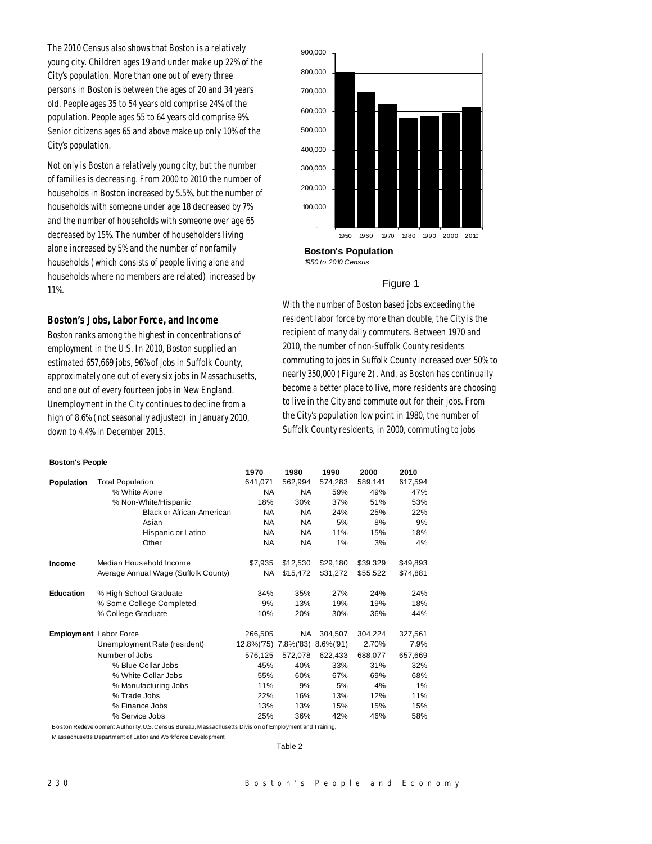The 2010 Census also shows that Boston is a relatively young city. Children ages 19 and under make up 22% of the City's population. More than one out of every three persons in Boston is between the ages of 20 and 34 years old. People ages 35 to 54 years old comprise 24% of the population. People ages 55 to 64 years old comprise 9%. Senior citizens ages 65 and above make up only 10% of the City's population.

Not only is Boston a relatively young city, but the number of families is decreasing. From 2000 to 2010 the number of households in Boston increased by 5.5%, but the number of households with someone under age 18 decreased by 7% and the number of households with someone over age 65 decreased by 15%. The number of householders living alone increased by 5% and the number of nonfamily households (which consists of people living alone and households where no members are related) increased by 11%.

## *Boston's Jobs, Labor Force, and Income*

Boston ranks among the highest in concentrations of employment in the U.S. In 2010, Boston supplied an estimated 657,669 jobs, 96% of jobs in Suffolk County, approximately one out of every six jobs in Massachusetts, and one out of every fourteen jobs in New England. Unemployment in the City continues to decline from a high of 8.6% (not seasonally adjusted) in January 2010, down to 4.4% in December 2015.

## - 100,000 200,000 300,000 400,000 500,000 600,000 700,000 800,000 900,000 1950 1960 1970 1980 1990 2000 2010

**Boston's Population** *1950 to 2010 Census*

## Figure 1

With the number of Boston based jobs exceeding the resident labor force by more than double, the City is the recipient of many daily commuters. Between 1970 and 2010, the number of non-Suffolk County residents commuting to jobs in Suffolk County increased over 50% to nearly 350,000 (Figure 2). And, as Boston has continually become a better place to live, more residents are choosing to live in the City and commute out for their jobs. From the City's population low point in 1980, the number of Suffolk County residents, in 2000, commuting to jobs

#### **Boston's People**

|                   |                                      | 1970                 | 1980      | 1990          | 2000     | 2010     |
|-------------------|--------------------------------------|----------------------|-----------|---------------|----------|----------|
| <b>Population</b> | <b>Total Population</b>              | 641,071              | 562,994   | 574,283       | 589,141  | 617,594  |
|                   | % White Alone                        | <b>NA</b>            | <b>NA</b> | 59%           | 49%      | 47%      |
|                   | % Non-White/Hispanic                 | 18%                  | 30%       | 37%           | 51%      | 53%      |
|                   | <b>Black or African-American</b>     | NA.                  | <b>NA</b> | 24%           | 25%      | 22%      |
|                   | Asian                                | <b>NA</b>            | <b>NA</b> | 5%            | 8%       | 9%       |
|                   | Hispanic or Latino                   | NA                   | <b>NA</b> | 11%           | 15%      | 18%      |
|                   | Other                                | <b>NA</b>            | <b>NA</b> | 1%            | 3%       | 4%       |
| <b>Income</b>     | Median Household Income              | \$7.935              | \$12,530  | \$29,180      | \$39.329 | \$49,893 |
|                   | Average Annual Wage (Suffolk County) | NA                   | \$15,472  | \$31,272      | \$55,522 | \$74,881 |
| <b>Education</b>  | % High School Graduate               | 34%                  | 35%       | 27%           | 24%      | 24%      |
|                   | % Some College Completed             | 9%                   | 13%       | 19%           | 19%      | 18%      |
|                   | % College Graduate                   | 10%                  | 20%       | 30%           | 36%      | 44%      |
|                   | Employment Labor Force               | 266,505              | NA.       | 304.507       | 304,224  | 327,561  |
|                   | Unemployment Rate (resident)         | 12.8%('75) 7.8%('83) |           | $8.6\%$ ('91) | 2.70%    | 7.9%     |
|                   | Number of Jobs                       | 576,125              | 572,078   | 622,433       | 688,077  | 657,669  |
|                   | % Blue Collar Jobs                   | 45%                  | 40%       | 33%           | 31%      | 32%      |
|                   | % White Collar Jobs                  | 55%                  | 60%       | 67%           | 69%      | 68%      |
|                   | % Manufacturing Jobs                 | 11%                  | 9%        | 5%            | 4%       | 1%       |
|                   | % Trade Jobs                         | 22%                  | 16%       | 13%           | 12%      | 11%      |
|                   | % Finance Jobs                       | 13%                  | 13%       | 15%           | 15%      | 15%      |
|                   | % Service Jobs                       | 25%                  | 36%       | 42%           | 46%      | 58%      |

Boston Redevelopment Authority, U.S. Census Bureau, M assachusetts Division of Employment and Training,

M assachusetts Department of Labor and Workforce Development

Table 2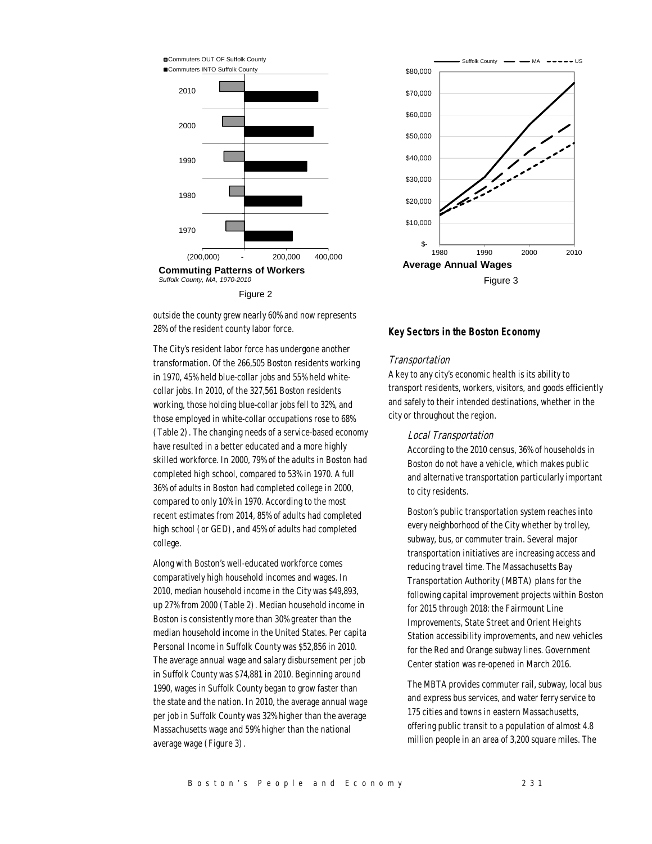

Figure 2

outside the county grew nearly 60% and now represents 28% of the resident county labor force.

The City's resident labor force has undergone another transformation. Of the 266,505 Boston residents working in 1970, 45% held blue-collar jobs and 55% held whitecollar jobs. In 2010, of the 327,561 Boston residents working, those holding blue-collar jobs fell to 32%, and those employed in white-collar occupations rose to 68% (Table 2). The changing needs of a service-based economy have resulted in a better educated and a more highly skilled workforce. In 2000, 79% of the adults in Boston had completed high school, compared to 53% in 1970. A full 36% of adults in Boston had completed college in 2000, compared to only 10% in 1970. According to the most recent estimates from 2014, 85% of adults had completed high school (or GED), and 45% of adults had completed college.

Along with Boston's well-educated workforce comes comparatively high household incomes and wages. In 2010, median household income in the City was \$49,893, up 27% from 2000 (Table 2). Median household income in Boston is consistently more than 30% greater than the median household income in the United States. Per capita Personal Income in Suffolk County was \$52,856 in 2010. The average annual wage and salary disbursement per job in Suffolk County was \$74,881 in 2010. Beginning around 1990, wages in Suffolk County began to grow faster than the state and the nation. In 2010, the average annual wage per job in Suffolk County was 32% higher than the average Massachusetts wage and 59% higher than the national average wage (Figure 3).



## *Key Sectors in the Boston Economy*

## Transportation

A key to any city's economic health is its ability to transport residents, workers, visitors, and goods efficiently and safely to their intended destinations, whether in the city or throughout the region.

## Local Transportation

According to the 2010 census, 36% of households in Boston do not have a vehicle, which makes public and alternative transportation particularly important to city residents.

Boston's public transportation system reaches into every neighborhood of the City whether by trolley, subway, bus, or commuter train. Several major transportation initiatives are increasing access and reducing travel time. The Massachusetts Bay Transportation Authority (MBTA) plans for the following capital improvement projects within Boston for 2015 through 2018: the Fairmount Line Improvements, State Street and Orient Heights Station accessibility improvements, and new vehicles for the Red and Orange subway lines. Government Center station was re-opened in March 2016.

The MBTA provides commuter rail, subway, local bus and express bus services, and water ferry service to 175 cities and towns in eastern Massachusetts, offering public transit to a population of almost 4.8 million people in an area of 3,200 square miles. The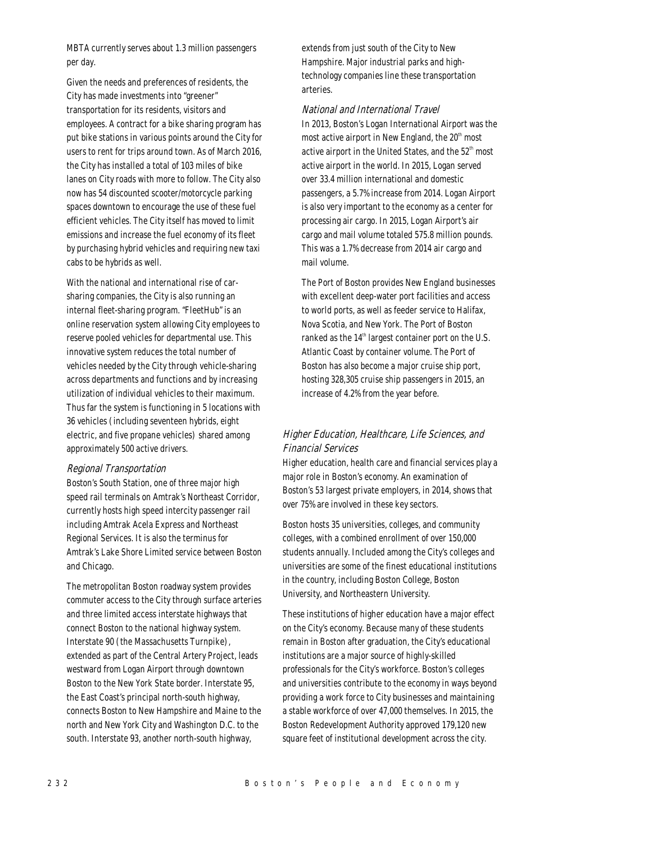MBTA currently serves about 1.3 million passengers per day.

Given the needs and preferences of residents, the City has made investments into "greener" transportation for its residents, visitors and employees. A contract for a bike sharing program has put bike stations in various points around the City for users to rent for trips around town. As of March 2016, the City has installed a total of 103 miles of bike lanes on City roads with more to follow. The City also now has 54 discounted scooter/motorcycle parking spaces downtown to encourage the use of these fuel efficient vehicles. The City itself has moved to limit emissions and increase the fuel economy of its fleet by purchasing hybrid vehicles and requiring new taxi cabs to be hybrids as well.

With the national and international rise of carsharing companies, the City is also running an internal fleet-sharing program. "FleetHub" is an online reservation system allowing City employees to reserve pooled vehicles for departmental use. This innovative system reduces the total number of vehicles needed by the City through vehicle-sharing across departments and functions and by increasing utilization of individual vehicles to their maximum. Thus far the system is functioning in 5 locations with 36 vehicles (including seventeen hybrids, eight electric, and five propane vehicles) shared among approximately 500 active drivers.

## Regional Transportation

Boston's South Station, one of three major high speed rail terminals on Amtrak's Northeast Corridor, currently hosts high speed intercity passenger rail including Amtrak Acela Express and Northeast Regional Services. It is also the terminus for Amtrak's Lake Shore Limited service between Boston and Chicago.

The metropolitan Boston roadway system provides commuter access to the City through surface arteries and three limited access interstate highways that connect Boston to the national highway system. Interstate 90 (the Massachusetts Turnpike), extended as part of the Central Artery Project, leads westward from Logan Airport through downtown Boston to the New York State border. Interstate 95, the East Coast's principal north-south highway, connects Boston to New Hampshire and Maine to the north and New York City and Washington D.C. to the south. Interstate 93, another north-south highway,

extends from just south of the City to New Hampshire. Major industrial parks and hightechnology companies line these transportation arteries.

## National and International Travel

In 2013, Boston's Logan International Airport was the most active airport in New England, the  $20<sup>th</sup>$  most active airport in the United States, and the  $52<sup>th</sup>$  most active airport in the world. In 2015, Logan served over 33.4 million international and domestic passengers, a 5.7% increase from 2014. Logan Airport is also very important to the economy as a center for processing air cargo. In 2015, Logan Airport's air cargo and mail volume totaled 575.8 million pounds. This was a 1.7% decrease from 2014 air cargo and mail volume.

The Port of Boston provides New England businesses with excellent deep-water port facilities and access to world ports, as well as feeder service to Halifax, Nova Scotia, and New York. The Port of Boston ranked as the  $14<sup>th</sup>$  largest container port on the U.S. Atlantic Coast by container volume. The Port of Boston has also become a major cruise ship port, hosting 328,305 cruise ship passengers in 2015, an increase of 4.2% from the year before.

## Higher Education, Healthcare, Life Sciences, and Financial Services

Higher education, health care and financial services play a major role in Boston's economy. An examination of Boston's 53 largest private employers, in 2014, shows that over 75% are involved in these key sectors.

Boston hosts 35 universities, colleges, and community colleges, with a combined enrollment of over 150,000 students annually. Included among the City's colleges and universities are some of the finest educational institutions in the country, including Boston College, Boston University, and Northeastern University.

These institutions of higher education have a major effect on the City's economy. Because many of these students remain in Boston after graduation, the City's educational institutions are a major source of highly-skilled professionals for the City's workforce. Boston's colleges and universities contribute to the economy in ways beyond providing a work force to City businesses and maintaining a stable workforce of over 47,000 themselves. In 2015, the Boston Redevelopment Authority approved 179,120 new square feet of institutional development across the city.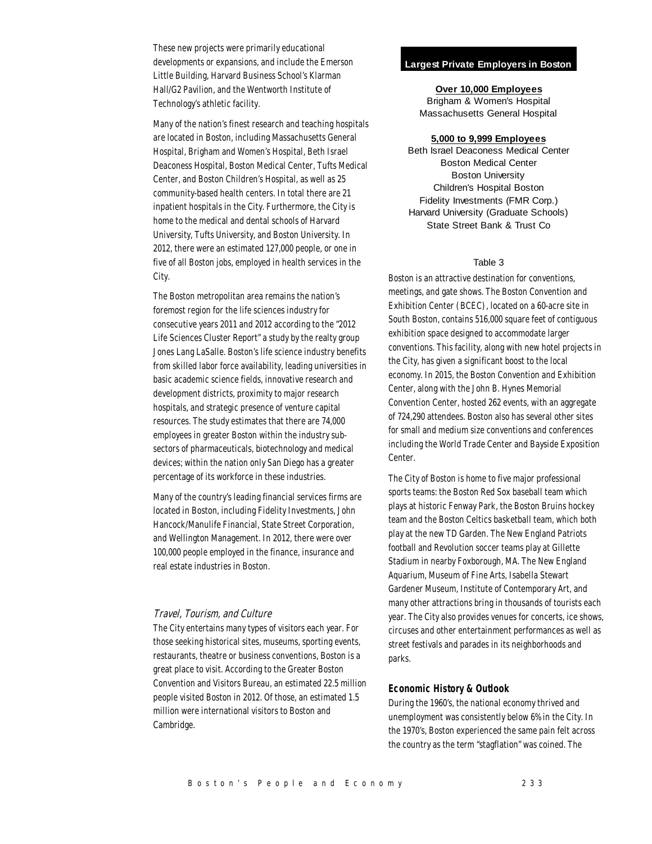These new projects were primarily educational developments or expansions, and include the Emerson Little Building, Harvard Business School's Klarman Hall/G2 Pavilion, and the Wentworth Institute of Technology's athletic facility.

Many of the nation's finest research and teaching hospitals are located in Boston, including Massachusetts General Hospital, Brigham and Women's Hospital, Beth Israel Deaconess Hospital, Boston Medical Center, Tufts Medical Center, and Boston Children's Hospital, as well as 25 community-based health centers. In total there are 21 inpatient hospitals in the City. Furthermore, the City is home to the medical and dental schools of Harvard University, Tufts University, and Boston University. In 2012, there were an estimated 127,000 people, or one in five of all Boston jobs, employed in health services in the City.

The Boston metropolitan area remains the nation's foremost region for the life sciences industry for consecutive years 2011 and 2012 according to the "2012 Life Sciences Cluster Report" a study by the realty group Jones Lang LaSalle. Boston's life science industry benefits from skilled labor force availability, leading universities in basic academic science fields, innovative research and development districts, proximity to major research hospitals, and strategic presence of venture capital resources. The study estimates that there are 74,000 employees in greater Boston within the industry subsectors of pharmaceuticals, biotechnology and medical devices; within the nation only San Diego has a greater percentage of its workforce in these industries.

Many of the country's leading financial services firms are located in Boston, including Fidelity Investments, John Hancock/Manulife Financial, State Street Corporation, and Wellington Management. In 2012, there were over 100,000 people employed in the finance, insurance and real estate industries in Boston.

## Travel, Tourism, and Culture

The City entertains many types of visitors each year. For those seeking historical sites, museums, sporting events, restaurants, theatre or business conventions, Boston is a great place to visit. According to the Greater Boston Convention and Visitors Bureau, an estimated 22.5 million people visited Boston in 2012. Of those, an estimated 1.5 million were international visitors to Boston and Cambridge.

## **Largest Private Employers in Boston**

## **Over 10,000 Employees**

Brigham & Women's Hospital Massachusetts General Hospital

## **5,000 to 9,999 Employees**

Beth Israel Deaconess Medical Center Boston Medical Center Boston University Children's Hospital Boston Fidelity Investments (FMR Corp.) Harvard University (Graduate Schools) State Street Bank & Trust Co

## Table 3

Boston is an attractive destination for conventions, meetings, and gate shows. The Boston Convention and Exhibition Center (BCEC), located on a 60-acre site in South Boston, contains 516,000 square feet of contiguous exhibition space designed to accommodate larger conventions. This facility, along with new hotel projects in the City, has given a significant boost to the local economy. In 2015, the Boston Convention and Exhibition Center, along with the John B. Hynes Memorial Convention Center, hosted 262 events, with an aggregate of 724,290 attendees. Boston also has several other sites for small and medium size conventions and conferences including the World Trade Center and Bayside Exposition Center.

The City of Boston is home to five major professional sports teams: the Boston Red Sox baseball team which plays at historic Fenway Park, the Boston Bruins hockey team and the Boston Celtics basketball team, which both play at the new TD Garden. The New England Patriots football and Revolution soccer teams play at Gillette Stadium in nearby Foxborough, MA. The New England Aquarium, Museum of Fine Arts, Isabella Stewart Gardener Museum, Institute of Contemporary Art, and many other attractions bring in thousands of tourists each year. The City also provides venues for concerts, ice shows, circuses and other entertainment performances as well as street festivals and parades in its neighborhoods and parks.

## *Economic History & Outlook*

During the 1960's, the national economy thrived and unemployment was consistently below 6% in the City. In the 1970's, Boston experienced the same pain felt across the country as the term "stagflation" was coined. The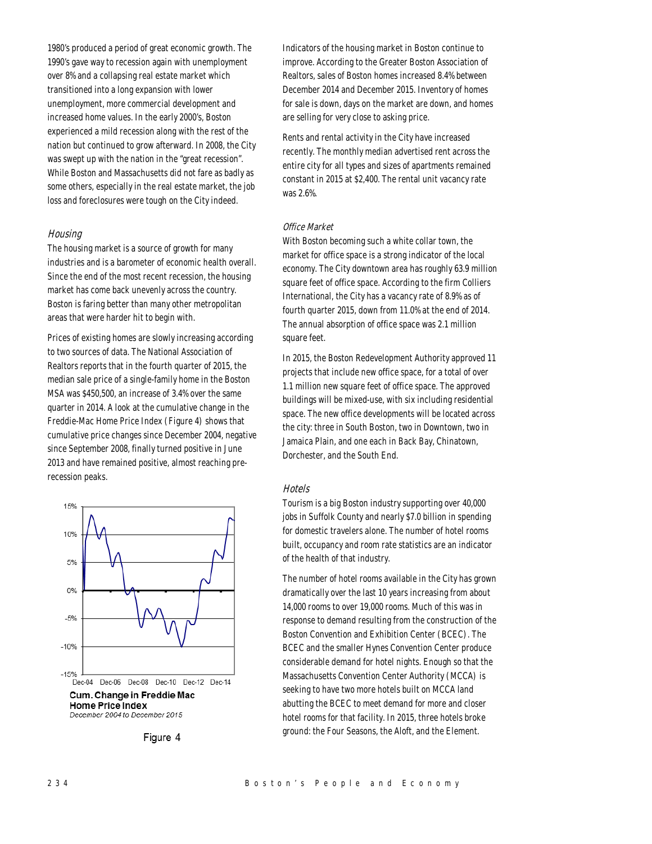1980's produced a period of great economic growth. The 1990's gave way to recession again with unemployment over 8% and a collapsing real estate market which transitioned into a long expansion with lower unemployment, more commercial development and increased home values. In the early 2000's, Boston experienced a mild recession along with the rest of the nation but continued to grow afterward. In 2008, the City was swept up with the nation in the "great recession". While Boston and Massachusetts did not fare as badly as some others, especially in the real estate market, the job loss and foreclosures were tough on the City indeed.

## **Housing**

The housing market is a source of growth for many industries and is a barometer of economic health overall. Since the end of the most recent recession, the housing market has come back unevenly across the country. Boston is faring better than many other metropolitan areas that were harder hit to begin with.

Prices of existing homes are slowly increasing according to two sources of data. The National Association of Realtors reports that in the fourth quarter of 2015, the median sale price of a single-family home in the Boston MSA was \$450,500, an increase of 3.4% over the same quarter in 2014. A look at the cumulative change in the Freddie-Mac Home Price Index (Figure 4) shows that cumulative price changes since December 2004, negative since September 2008, finally turned positive in June 2013 and have remained positive, almost reaching prerecession peaks.



Figure 4

Indicators of the housing market in Boston continue to improve. According to the Greater Boston Association of Realtors, sales of Boston homes increased 8.4% between December 2014 and December 2015. Inventory of homes for sale is down, days on the market are down, and homes are selling for very close to asking price.

Rents and rental activity in the City have increased recently. The monthly median advertised rent across the entire city for all types and sizes of apartments remained constant in 2015 at \$2,400. The rental unit vacancy rate was 2.6%.

## Office Market

With Boston becoming such a white collar town, the market for office space is a strong indicator of the local economy. The City downtown area has roughly 63.9 million square feet of office space. According to the firm Colliers International, the City has a vacancy rate of 8.9% as of fourth quarter 2015, down from 11.0% at the end of 2014. The annual absorption of office space was 2.1 million square feet.

In 2015, the Boston Redevelopment Authority approved 11 projects that include new office space, for a total of over 1.1 million new square feet of office space. The approved buildings will be mixed-use, with six including residential space. The new office developments will be located across the city: three in South Boston, two in Downtown, two in Jamaica Plain, and one each in Back Bay, Chinatown, Dorchester, and the South End.

## **Hotels**

Tourism is a big Boston industry supporting over 40,000 jobs in Suffolk County and nearly \$7.0 billion in spending for domestic travelers alone. The number of hotel rooms built, occupancy and room rate statistics are an indicator of the health of that industry.

The number of hotel rooms available in the City has grown dramatically over the last 10 years increasing from about 14,000 rooms to over 19,000 rooms. Much of this was in response to demand resulting from the construction of the Boston Convention and Exhibition Center (BCEC). The BCEC and the smaller Hynes Convention Center produce considerable demand for hotel nights. Enough so that the Massachusetts Convention Center Authority (MCCA) is seeking to have two more hotels built on MCCA land abutting the BCEC to meet demand for more and closer hotel rooms for that facility. In 2015, three hotels broke ground: the Four Seasons, the Aloft, and the Element.